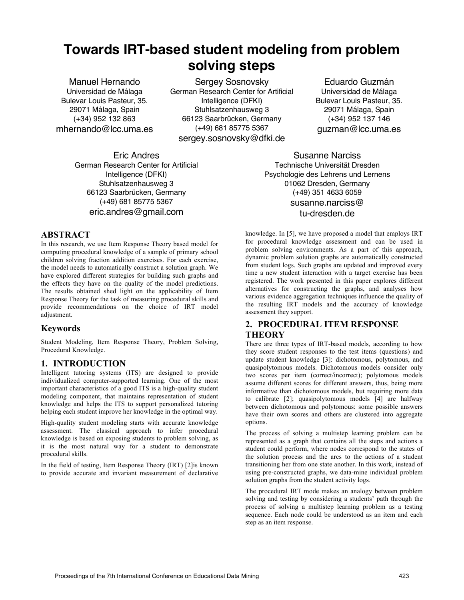# **Towards IRT-based student modeling from problem solving steps**

Manuel Hernando Universidad de Málaga Bulevar Louis Pasteur, 35. 29071 Málaga, Spain (+34) 952 132 863 mhernando@lcc.uma.es

Sergey Sosnovsky German Research Center for Artificial Intelligence (DFKI) Stuhlsatzenhausweg 3 66123 Saarbrücken, Germany (+49) 681 85775 5367 sergey.sosnovsky@dfki.de

Eric Andres German Research Center for Artificial Intelligence (DFKI) Stuhlsatzenhausweg 3 66123 Saarbrücken, Germany (+49) 681 85775 5367 eric.andres@gmail.com

#### **ABSTRACT**

In this research, we use Item Response Theory based model for computing procedural knowledge of a sample of primary school children solving fraction addition exercises. For each exercise, the model needs to automatically construct a solution graph. We have explored different strategies for building such graphs and the effects they have on the quality of the model predictions. The results obtained shed light on the applicability of Item Response Theory for the task of measuring procedural skills and provide recommendations on the choice of IRT model adjustment.

#### **Keywords**

Student Modeling, Item Response Theory, Problem Solving, Procedural Knowledge.

# **1. INTRODUCTION**

Intelligent tutoring systems (ITS) are designed to provide individualized computer-supported learning. One of the most important characteristics of a good ITS is a high-quality student modeling component, that maintains representation of student knowledge and helps the ITS to support personalized tutoring helping each student improve her knowledge in the optimal way.

High-quality student modeling starts with accurate knowledge assessment. The classical approach to infer procedural knowledge is based on exposing students to problem solving, as it is the most natural way for a student to demonstrate procedural skills.

In the field of testing, Item Response Theory (IRT) [2]is known to provide accurate and invariant measurement of declarative

Eduardo Guzmán Universidad de Málaga Bulevar Louis Pasteur, 35. 29071 Málaga, Spain (+34) 952 137 146 guzman@lcc.uma.es

Susanne Narciss Technische Universität Dresden Psychologie des Lehrens und Lernens 01062 Dresden, Germany (+49) 351 4633 6059 susanne.narciss@ tu-dresden.de

knowledge. In [5], we have proposed a model that employs IRT for procedural knowledge assessment and can be used in problem solving environments. As a part of this approach, dynamic problem solution graphs are automatically constructed from student logs. Such graphs are updated and improved every time a new student interaction with a target exercise has been registered. The work presented in this paper explores different alternatives for constructing the graphs, and analyses how various evidence aggregation techniques influence the quality of the resulting IRT models and the accuracy of knowledge assessment they support.

### **2. PROCEDURAL ITEM RESPONSE THEORY**

There are three types of IRT-based models, according to how they score student responses to the test items (questions) and update student knowledge [3]: dichotomous, polytomous, and quasipolytomous models. Dichotomous models consider only two scores per item (correct/incorrect); polytomous models assume different scores for different answers, thus, being more informative than dichotomous models, but requiring more data to calibrate [2]; quasipolytomous models [4] are halfway between dichotomous and polytomous: some possible answers have their own scores and others are clustered into aggregate options.

The process of solving a multistep learning problem can be represented as a graph that contains all the steps and actions a student could perform, where nodes correspond to the states of the solution process and the arcs to the actions of a student transitioning her from one state another. In this work, instead of using pre-constructed graphs, we data-mine individual problem solution graphs from the student activity logs.

The procedural IRT mode makes an analogy between problem solving and testing by considering a students' path through the process of solving a multistep learning problem as a testing sequence. Each node could be understood as an item and each step as an item response.